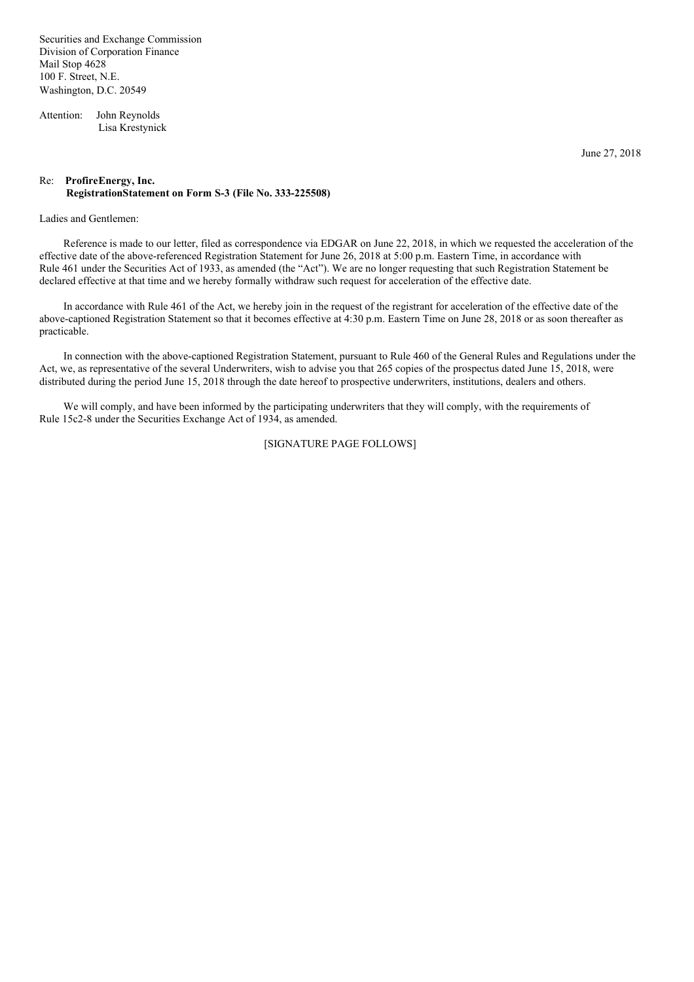Securities and Exchange Commission Division of Corporation Finance Mail Stop 4628 100 F. Street, N.E. Washington, D.C. 20549

Attention: John Reynolds Lisa Krestynick

June 27, 2018

### Re: **ProfireEnergy, Inc. RegistrationStatement on Form S-3 (File No. 333-225508)**

#### Ladies and Gentlemen:

Reference is made to our letter, filed as correspondence via EDGAR on June 22, 2018, in which we requested the acceleration of the effective date of the above-referenced Registration Statement for June 26, 2018 at 5:00 p.m. Eastern Time, in accordance with Rule 461 under the Securities Act of 1933, as amended (the "Act"). We are no longer requesting that such Registration Statement be declared effective at that time and we hereby formally withdraw such request for acceleration of the effective date.

In accordance with Rule 461 of the Act, we hereby join in the request of the registrant for acceleration of the effective date of the above-captioned Registration Statement so that it becomes effective at 4:30 p.m. Eastern Time on June 28, 2018 or as soon thereafter as practicable.

In connection with the above-captioned Registration Statement, pursuant to Rule 460 of the General Rules and Regulations under the Act, we, as representative of the several Underwriters, wish to advise you that 265 copies of the prospectus dated June 15, 2018, were distributed during the period June 15, 2018 through the date hereof to prospective underwriters, institutions, dealers and others.

We will comply, and have been informed by the participating underwriters that they will comply, with the requirements of Rule 15c2-8 under the Securities Exchange Act of 1934, as amended.

### [SIGNATURE PAGE FOLLOWS]